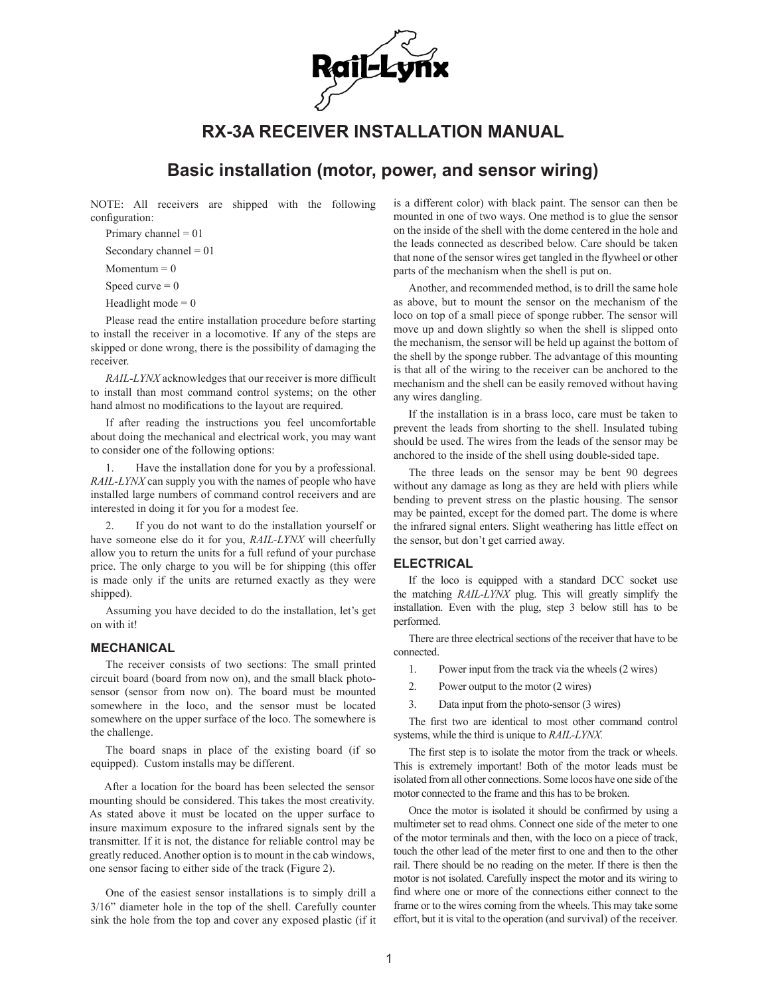

# **RX-3A RECEIVER INSTALLATION MANUAL**

## **Basic installation (motor, power, and sensor wiring)**

NOTE: All receivers are shipped with the following configuration:

Primary channel  $= 01$ 

Secondary channel  $= 01$ 

Momentum  $= 0$ 

Speed curve  $= 0$ 

Headlight mode  $= 0$ 

Please read the entire installation procedure before starting to install the receiver in a locomotive. If any of the steps are skipped or done wrong, there is the possibility of damaging the receiver.

*RAIL-LYNX* acknowledges that our receiver is more difficult to install than most command control systems; on the other hand almost no modifications to the layout are required.

If after reading the instructions you feel uncomfortable about doing the mechanical and electrical work, you may want to consider one of the following options:

Have the installation done for you by a professional. *RAIL-LYNX* can supply you with the names of people who have installed large numbers of command control receivers and are interested in doing it for you for a modest fee.

2. If you do not want to do the installation yourself or have someone else do it for you, *RAIL-LYNX* will cheerfully allow you to return the units for a full refund of your purchase price. The only charge to you will be for shipping (this offer is made only if the units are returned exactly as they were shipped).

Assuming you have decided to do the installation, let's get on with it!

### **MECHANICAL**

The receiver consists of two sections: The small printed circuit board (board from now on), and the small black photosensor (sensor from now on). The board must be mounted somewhere in the loco, and the sensor must be located somewhere on the upper surface of the loco. The somewhere is the challenge.

The board snaps in place of the existing board (if so equipped). Custom installs may be different.

After a location for the board has been selected the sensor mounting should be considered. This takes the most creativity. As stated above it must be located on the upper surface to insure maximum exposure to the infrared signals sent by the transmitter. If it is not, the distance for reliable control may be greatly reduced. Another option is to mount in the cab windows, one sensor facing to either side of the track (Figure 2).

One of the easiest sensor installations is to simply drill a 3/16" diameter hole in the top of the shell. Carefully counter sink the hole from the top and cover any exposed plastic (if it is a different color) with black paint. The sensor can then be mounted in one of two ways. One method is to glue the sensor on the inside of the shell with the dome centered in the hole and the leads connected as described below. Care should be taken that none of the sensor wires get tangled in the flywheel or other parts of the mechanism when the shell is put on.

Another, and recommended method, is to drill the same hole as above, but to mount the sensor on the mechanism of the loco on top of a small piece of sponge rubber. The sensor will move up and down slightly so when the shell is slipped onto the mechanism, the sensor will be held up against the bottom of the shell by the sponge rubber. The advantage of this mounting is that all of the wiring to the receiver can be anchored to the mechanism and the shell can be easily removed without having any wires dangling.

If the installation is in a brass loco, care must be taken to prevent the leads from shorting to the shell. Insulated tubing should be used. The wires from the leads of the sensor may be anchored to the inside of the shell using double-sided tape.

The three leads on the sensor may be bent 90 degrees without any damage as long as they are held with pliers while bending to prevent stress on the plastic housing. The sensor may be painted, except for the domed part. The dome is where the infrared signal enters. Slight weathering has little effect on the sensor, but don't get carried away.

#### **ELECTRICAL**

If the loco is equipped with a standard DCC socket use the matching *RAIL-LYNX* plug. This will greatly simplify the installation. Even with the plug, step 3 below still has to be performed.

There are three electrical sections of the receiver that have to be connected.

1. Power input from the track via the wheels (2 wires)

2. Power output to the motor (2 wires)

3. Data input from the photo-sensor (3 wires)

The first two are identical to most other command control systems, while the third is unique to *RAIL-LYNX.*

The first step is to isolate the motor from the track or wheels. This is extremely important! Both of the motor leads must be isolated from all other connections. Some locos have one side of the motor connected to the frame and this has to be broken.

Once the motor is isolated it should be confirmed by using a multimeter set to read ohms. Connect one side of the meter to one of the motor terminals and then, with the loco on a piece of track, touch the other lead of the meter first to one and then to the other rail. There should be no reading on the meter. If there is then the motor is not isolated. Carefully inspect the motor and its wiring to find where one or more of the connections either connect to the frame or to the wires coming from the wheels. This may take some effort, but it is vital to the operation (and survival) of the receiver.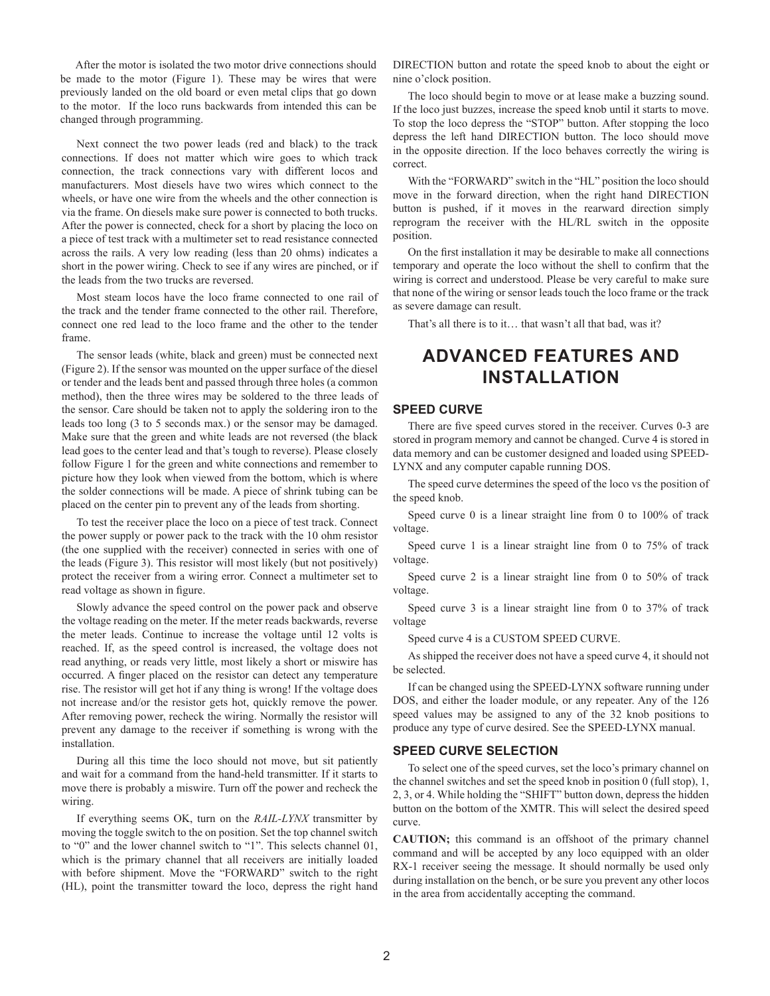After the motor is isolated the two motor drive connections should be made to the motor (Figure 1). These may be wires that were previously landed on the old board or even metal clips that go down to the motor. If the loco runs backwards from intended this can be changed through programming.

Next connect the two power leads (red and black) to the track connections. If does not matter which wire goes to which track connection, the track connections vary with different locos and manufacturers. Most diesels have two wires which connect to the wheels, or have one wire from the wheels and the other connection is via the frame. On diesels make sure power is connected to both trucks. After the power is connected, check for a short by placing the loco on a piece of test track with a multimeter set to read resistance connected across the rails. A very low reading (less than 20 ohms) indicates a short in the power wiring. Check to see if any wires are pinched, or if the leads from the two trucks are reversed.

Most steam locos have the loco frame connected to one rail of the track and the tender frame connected to the other rail. Therefore, connect one red lead to the loco frame and the other to the tender frame.

The sensor leads (white, black and green) must be connected next (Figure 2). If the sensor was mounted on the upper surface of the diesel or tender and the leads bent and passed through three holes (a common method), then the three wires may be soldered to the three leads of the sensor. Care should be taken not to apply the soldering iron to the leads too long (3 to 5 seconds max.) or the sensor may be damaged. Make sure that the green and white leads are not reversed (the black lead goes to the center lead and that's tough to reverse). Please closely follow Figure 1 for the green and white connections and remember to picture how they look when viewed from the bottom, which is where the solder connections will be made. A piece of shrink tubing can be placed on the center pin to prevent any of the leads from shorting.

To test the receiver place the loco on a piece of test track. Connect the power supply or power pack to the track with the 10 ohm resistor (the one supplied with the receiver) connected in series with one of the leads (Figure 3). This resistor will most likely (but not positively) protect the receiver from a wiring error. Connect a multimeter set to read voltage as shown in figure.

Slowly advance the speed control on the power pack and observe the voltage reading on the meter. If the meter reads backwards, reverse the meter leads. Continue to increase the voltage until 12 volts is reached. If, as the speed control is increased, the voltage does not read anything, or reads very little, most likely a short or miswire has occurred. A finger placed on the resistor can detect any temperature rise. The resistor will get hot if any thing is wrong! If the voltage does not increase and/or the resistor gets hot, quickly remove the power. After removing power, recheck the wiring. Normally the resistor will prevent any damage to the receiver if something is wrong with the installation.

During all this time the loco should not move, but sit patiently and wait for a command from the hand-held transmitter. If it starts to move there is probably a miswire. Turn off the power and recheck the wiring.

If everything seems OK, turn on the *RAIL-LYNX* transmitter by moving the toggle switch to the on position. Set the top channel switch to "0" and the lower channel switch to "1". This selects channel 01, which is the primary channel that all receivers are initially loaded with before shipment. Move the "FORWARD" switch to the right (HL), point the transmitter toward the loco, depress the right hand

DIRECTION button and rotate the speed knob to about the eight or nine o'clock position.

The loco should begin to move or at lease make a buzzing sound. If the loco just buzzes, increase the speed knob until it starts to move. To stop the loco depress the "STOP" button. After stopping the loco depress the left hand DIRECTION button. The loco should move in the opposite direction. If the loco behaves correctly the wiring is correct.

With the "FORWARD" switch in the "HL" position the loco should move in the forward direction, when the right hand DIRECTION button is pushed, if it moves in the rearward direction simply reprogram the receiver with the HL/RL switch in the opposite position.

On the first installation it may be desirable to make all connections temporary and operate the loco without the shell to confirm that the wiring is correct and understood. Please be very careful to make sure that none of the wiring or sensor leads touch the loco frame or the track as severe damage can result.

That's all there is to it… that wasn't all that bad, was it?

## **ADVANCED FEATURES AND INSTALLATION**

### **SPEED CURVE**

There are five speed curves stored in the receiver. Curves 0-3 are stored in program memory and cannot be changed. Curve 4 is stored in data memory and can be customer designed and loaded using SPEED-LYNX and any computer capable running DOS.

The speed curve determines the speed of the loco vs the position of the speed knob.

Speed curve 0 is a linear straight line from 0 to 100% of track voltage.

Speed curve 1 is a linear straight line from 0 to 75% of track voltage.

Speed curve 2 is a linear straight line from 0 to 50% of track voltage.

Speed curve 3 is a linear straight line from 0 to 37% of track voltage

Speed curve 4 is a CUSTOM SPEED CURVE.

As shipped the receiver does not have a speed curve 4, it should not be selected.

If can be changed using the SPEED-LYNX software running under DOS, and either the loader module, or any repeater. Any of the 126 speed values may be assigned to any of the 32 knob positions to produce any type of curve desired. See the SPEED-LYNX manual.

#### **SPEED CURVE SELECTION**

To select one of the speed curves, set the loco's primary channel on the channel switches and set the speed knob in position 0 (full stop), 1, 2, 3, or 4. While holding the "SHIFT" button down, depress the hidden button on the bottom of the XMTR. This will select the desired speed curve.

**CAUTION;** this command is an offshoot of the primary channel command and will be accepted by any loco equipped with an older RX-1 receiver seeing the message. It should normally be used only during installation on the bench, or be sure you prevent any other locos in the area from accidentally accepting the command.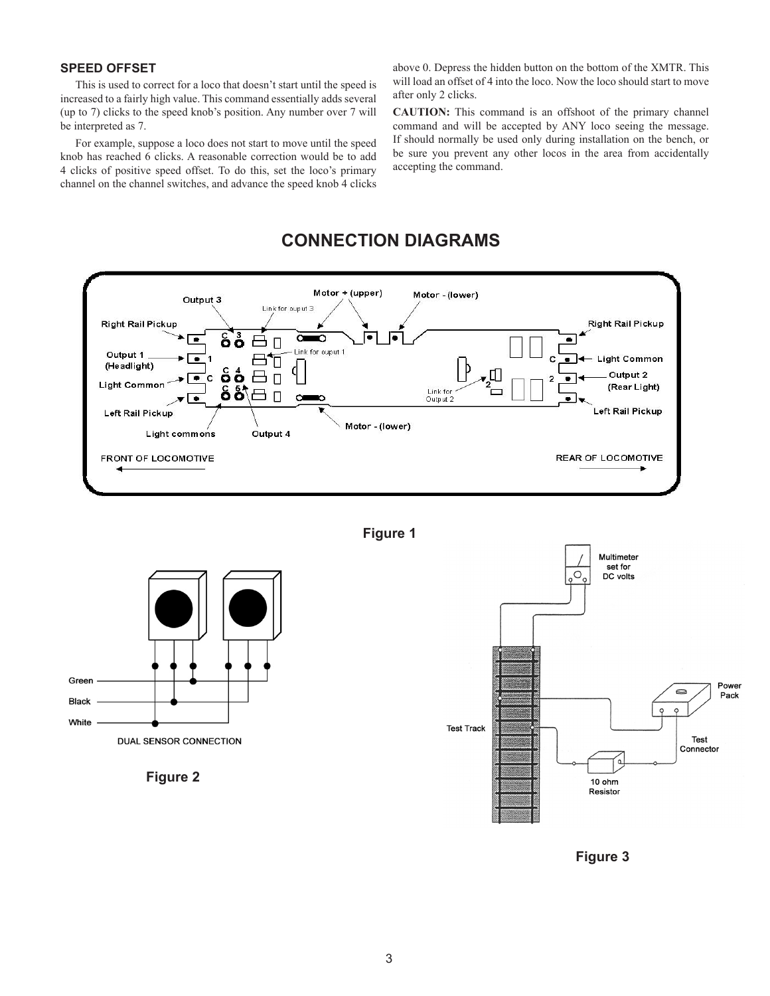### **SPEED OFFSET**

This is used to correct for a loco that doesn't start until the speed is increased to a fairly high value. This command essentially adds several (up to 7) clicks to the speed knob's position. Any number over 7 will be interpreted as 7.

For example, suppose a loco does not start to move until the speed knob has reached 6 clicks. A reasonable correction would be to add 4 clicks of positive speed offset. To do this, set the loco's primary channel on the channel switches, and advance the speed knob 4 clicks above 0. Depress the hidden button on the bottom of the XMTR. This will load an offset of 4 into the loco. Now the loco should start to move after only 2 clicks.

**CAUTION:** This command is an offshoot of the primary channel command and will be accepted by ANY loco seeing the message. If should normally be used only during installation on the bench, or be sure you prevent any other locos in the area from accidentally accepting the command.

## **CONNECTION DIAGRAMS**



**Figure 1**



**Figure 2**



**Figure 3**